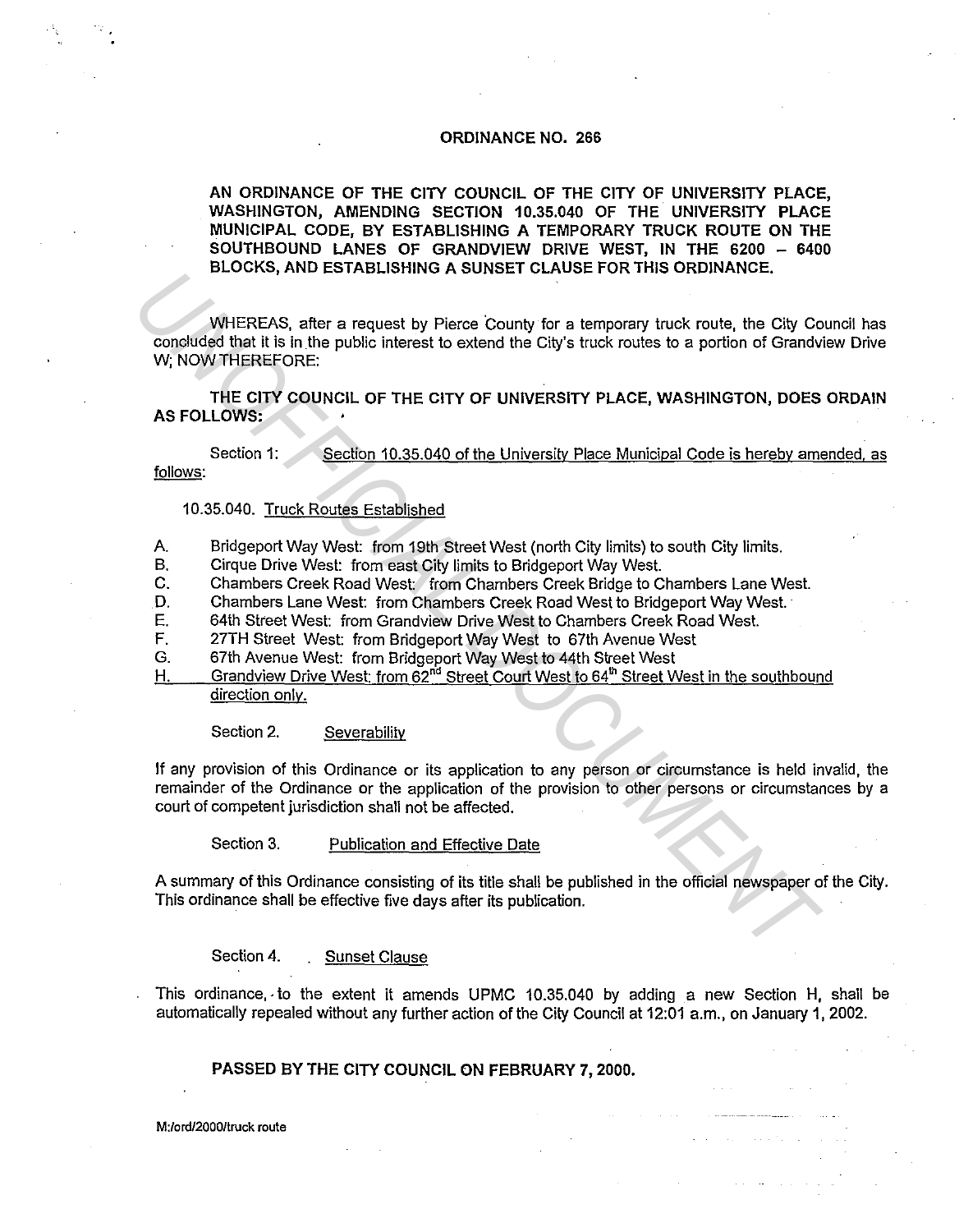#### ORDINANCE NO. 266

# AN ORDINANCE OF THE CITY COUNCIL OF THE CITY OF UNIVERSITY PLACE, WASHINGTON, AMENDING SECTION 10.35.040 OF THE UNIVERSITY PLACE MUNICIPAL CODE, BY ESTABLISHING A TEMPORARY TRUCK ROUTE ON THE SOUTHBOUND LANES OF GRANDVIEW DRIVE WEST, IN THE 6200 - 6400 BLOCKS, AND ESTABLISHING A SUNSET CLAUSE FOR THIS ORDINANCE.

WHEREAS, after a request by Pierce County for a temporary truck route, the City Council has concluded that it is in the public interest to extend the City's truck routes to a portion of Grandview Drive W; NOW THEREFORE: WHEREAS, after a request by Piece County for a temporary truck route, the City Constrained A Substitute that the in the public interest to extend the City's truck routes to a portion of Grandver, THE CITY COUNCIL OF THE CI

THE CITY COUNCIL OF THE CITY OF UNIVERSITY PLACE, WASHINGTON, DOES ORDAIN AS FOLLOWS:

Section 1: follows: Section 10.35.040 of the University Place Municipal Code is hereby amended. as

#### 10.35.040. Truck Routes Established

- A. Bridgeport Way West: from 19th Street West (north City limits) to south City limits.
- B. Cirque Drive West: from east City limits to Bridgeport Way West.
- C. Chambers Creek Road West: from Chambers Creek Bridge to Chambers Lane West.
- D. Chambers Lane West: from Chambers Creek Road West to Bridgeport Way West.
- E. 64th Street West: from Grandview Drive West to Chambers Creek Road West.<br>F. 27TH Street West: from Bridgeport Way West to 67th Avenue West
- 27TH Street West: from Bridgeport Way West to 67th Avenue West
- G. 67th Avenue West: from Bridgeport Way West to 44th Street West
- H. Grandview Drive West: from 62<sup>nd</sup> Street Court West to 64<sup>th</sup> Street West in the southbound direction only.

## Section 2. Severability

If any provision of this Ordinance or its application to any person or circumstance is held invalid, the remainder of the Ordinance or the application of the provision to other persons or circumstances by a court of competent jurisdiction shall not be affected.

## Section 3. Publication and Effective Date

A summary of this Ordinance consisting of its title shall be published in the official newspaper of the City. This ordinance shall be effective five days after its publication.

## Section 4. . . Sunset Clause

This ordinance,· to the extent it amends UPMC 10.35.040 by adding a new Section H, shall be automatically repealed without any further action of the City Council at 12:01 a.m., on January 1, 2002.

### PASSED BY THE CITY COUNCIL ON FEBRUARY 7, 2000.

M:/ord/2000/truck route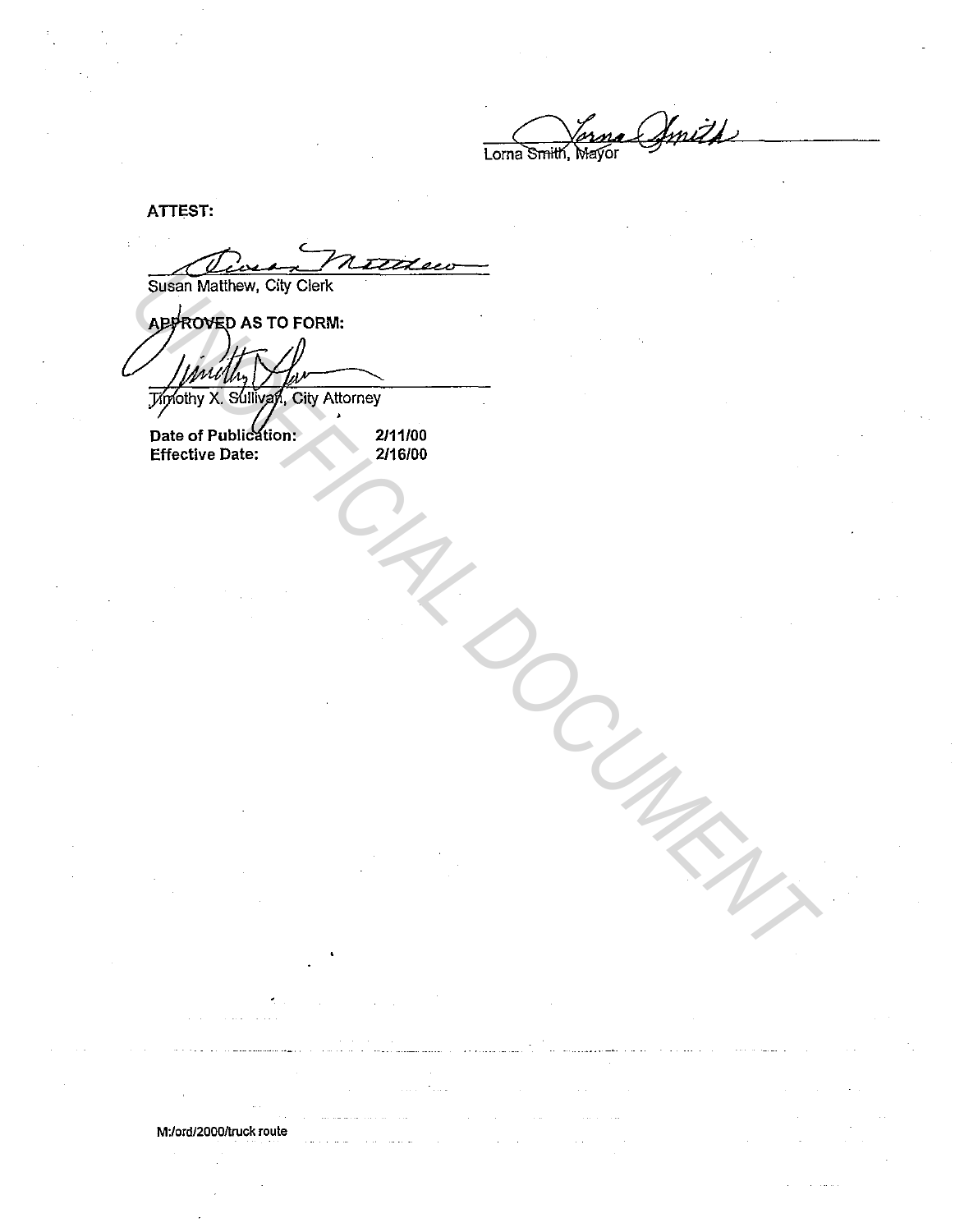Lorna Smith, Mayor

ATTEST:

*UNOFFICIAL DOCUMENT*

2/11/00 2/16/00

M:/ord/2000/truck route